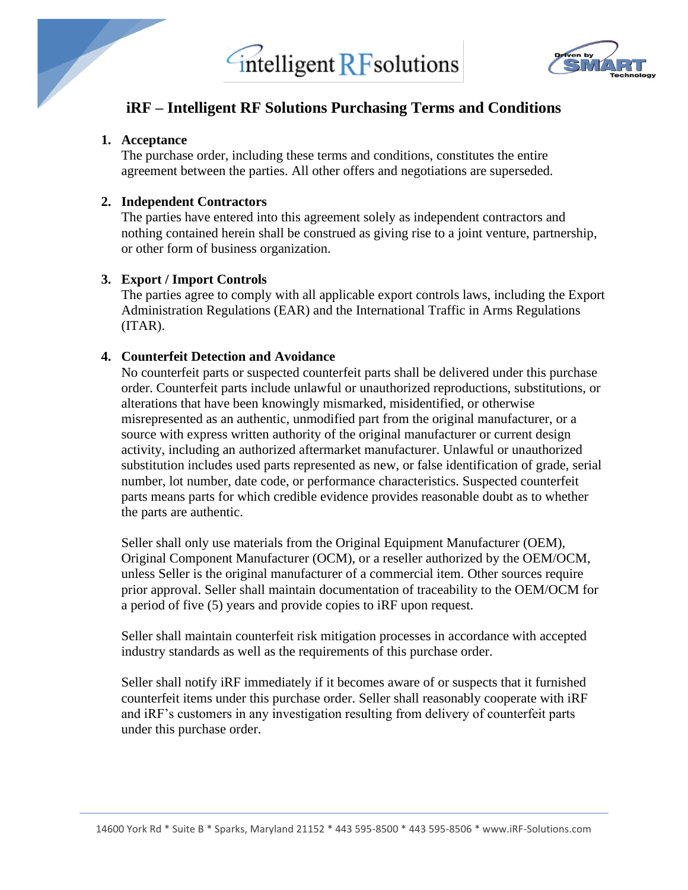



### **iRF – Intelligent RF Solutions Purchasing Terms and Conditions**

#### **1. Acceptance**

The purchase order, including these terms and conditions, constitutes the entire agreement between the parties. All other offers and negotiations are superseded.

#### **2. Independent Contractors**

The parties have entered into this agreement solely as independent contractors and nothing contained herein shall be construed as giving rise to a joint venture, partnership, or other form of business organization.

#### **3. Export / Import Controls**

The parties agree to comply with all applicable export controls laws, including the Export Administration Regulations (EAR) and the International Traffic in Arms Regulations (ITAR).

#### **4. Counterfeit Detection and Avoidance**

No counterfeit parts or suspected counterfeit parts shall be delivered under this purchase order. Counterfeit parts include unlawful or unauthorized reproductions, substitutions, or alterations that have been knowingly mismarked, misidentified, or otherwise misrepresented as an authentic, unmodified part from the original manufacturer, or a source with express written authority of the original manufacturer or current design activity, including an authorized aftermarket manufacturer. Unlawful or unauthorized substitution includes used parts represented as new, or false identification of grade, serial number, lot number, date code, or performance characteristics. Suspected counterfeit parts means parts for which credible evidence provides reasonable doubt as to whether the parts are authentic.

Seller shall only use materials from the Original Equipment Manufacturer (OEM), Original Component Manufacturer (OCM), or a reseller authorized by the OEM/OCM, unless Seller is the original manufacturer of a commercial item. Other sources require prior approval. Seller shall maintain documentation of traceability to the OEM/OCM for a period of five (5) years and provide copies to iRF upon request.

Seller shall maintain counterfeit risk mitigation processes in accordance with accepted industry standards as well as the requirements of this purchase order.

Seller shall notify iRF immediately if it becomes aware of or suspects that it furnished counterfeit items under this purchase order. Seller shall reasonably cooperate with iRF and iRF's customers in any investigation resulting from delivery of counterfeit parts under this purchase order.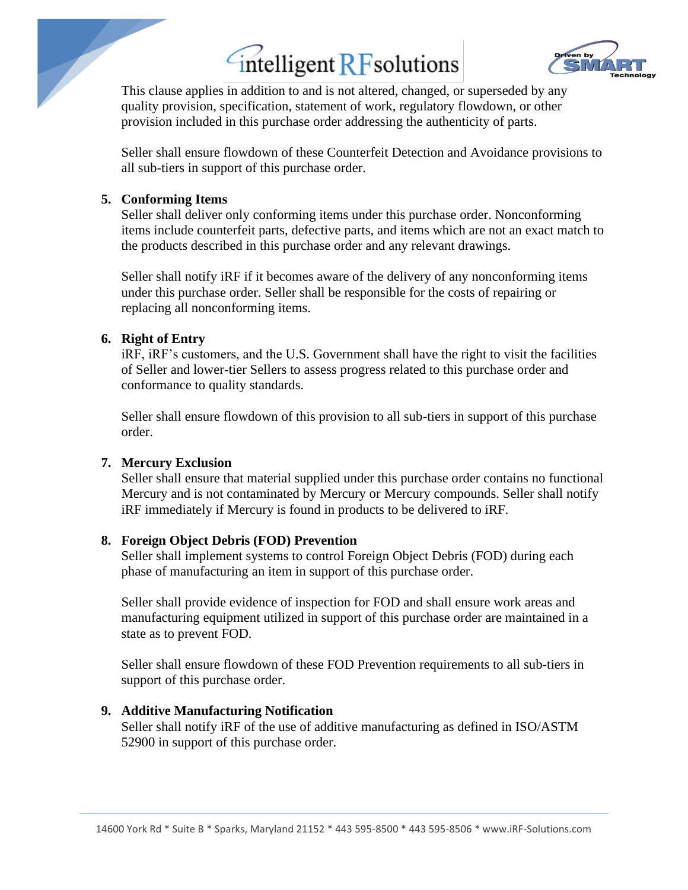

This clause applies in addition to and is not altered, changed, or superseded by any quality provision, specification, statement of work, regulatory flowdown, or other provision included in this purchase order addressing the authenticity of parts.

Seller shall ensure flowdown of these Counterfeit Detection and Avoidance provisions to all sub-tiers in support of this purchase order.

#### **5. Conforming Items**

Seller shall deliver only conforming items under this purchase order. Nonconforming items include counterfeit parts, defective parts, and items which are not an exact match to the products described in this purchase order and any relevant drawings.

Seller shall notify iRF if it becomes aware of the delivery of any nonconforming items under this purchase order. Seller shall be responsible for the costs of repairing or replacing all nonconforming items.

#### **6. Right of Entry**

iRF, iRF's customers, and the U.S. Government shall have the right to visit the facilities of Seller and lower-tier Sellers to assess progress related to this purchase order and conformance to quality standards.

Seller shall ensure flowdown of this provision to all sub-tiers in support of this purchase order.

#### **7. Mercury Exclusion**

Seller shall ensure that material supplied under this purchase order contains no functional Mercury and is not contaminated by Mercury or Mercury compounds. Seller shall notify iRF immediately if Mercury is found in products to be delivered to iRF.

#### **8. Foreign Object Debris (FOD) Prevention**

Seller shall implement systems to control Foreign Object Debris (FOD) during each phase of manufacturing an item in support of this purchase order.

Seller shall provide evidence of inspection for FOD and shall ensure work areas and manufacturing equipment utilized in support of this purchase order are maintained in a state as to prevent FOD.

Seller shall ensure flowdown of these FOD Prevention requirements to all sub-tiers in support of this purchase order.

#### **9. Additive Manufacturing Notification**

Seller shall notify iRF of the use of additive manufacturing as defined in ISO/ASTM 52900 in support of this purchase order.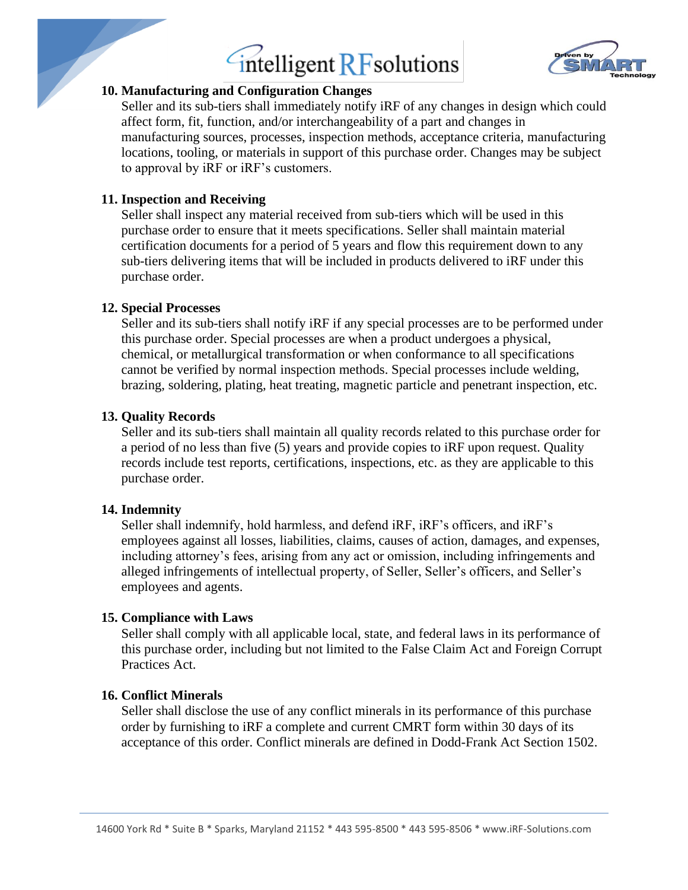

#### **10. Manufacturing and Configuration Changes**

Seller and its sub-tiers shall immediately notify iRF of any changes in design which could affect form, fit, function, and/or interchangeability of a part and changes in manufacturing sources, processes, inspection methods, acceptance criteria, manufacturing locations, tooling, or materials in support of this purchase order. Changes may be subject to approval by iRF or iRF's customers.

#### **11. Inspection and Receiving**

Seller shall inspect any material received from sub-tiers which will be used in this purchase order to ensure that it meets specifications. Seller shall maintain material certification documents for a period of 5 years and flow this requirement down to any sub-tiers delivering items that will be included in products delivered to iRF under this purchase order.

#### **12. Special Processes**

Seller and its sub-tiers shall notify iRF if any special processes are to be performed under this purchase order. Special processes are when a product undergoes a physical, chemical, or metallurgical transformation or when conformance to all specifications cannot be verified by normal inspection methods. Special processes include welding, brazing, soldering, plating, heat treating, magnetic particle and penetrant inspection, etc.

#### **13. Quality Records**

Seller and its sub-tiers shall maintain all quality records related to this purchase order for a period of no less than five (5) years and provide copies to iRF upon request. Quality records include test reports, certifications, inspections, etc. as they are applicable to this purchase order.

#### **14. Indemnity**

Seller shall indemnify, hold harmless, and defend iRF, iRF's officers, and iRF's employees against all losses, liabilities, claims, causes of action, damages, and expenses, including attorney's fees, arising from any act or omission, including infringements and alleged infringements of intellectual property, of Seller, Seller's officers, and Seller's employees and agents.

#### **15. Compliance with Laws**

Seller shall comply with all applicable local, state, and federal laws in its performance of this purchase order, including but not limited to the False Claim Act and Foreign Corrupt Practices Act.

#### **16. Conflict Minerals**

Seller shall disclose the use of any conflict minerals in its performance of this purchase order by furnishing to iRF a complete and current CMRT form within 30 days of its acceptance of this order. Conflict minerals are defined in Dodd-Frank Act Section 1502.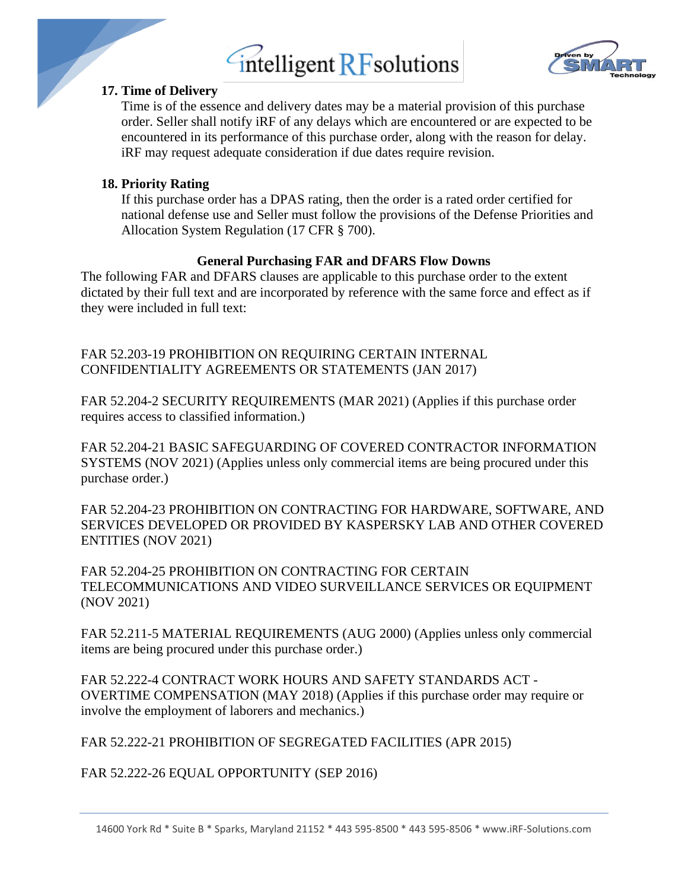

#### **17. Time of Delivery**

Time is of the essence and delivery dates may be a material provision of this purchase order. Seller shall notify iRF of any delays which are encountered or are expected to be encountered in its performance of this purchase order, along with the reason for delay. iRF may request adequate consideration if due dates require revision.

#### **18. Priority Rating**

If this purchase order has a DPAS rating, then the order is a rated order certified for national defense use and Seller must follow the provisions of the Defense Priorities and Allocation System Regulation (17 CFR § 700).

#### **General Purchasing FAR and DFARS Flow Downs**

The following FAR and DFARS clauses are applicable to this purchase order to the extent dictated by their full text and are incorporated by reference with the same force and effect as if they were included in full text:

FAR 52.203-19 PROHIBITION ON REQUIRING CERTAIN INTERNAL CONFIDENTIALITY AGREEMENTS OR STATEMENTS (JAN 2017)

FAR 52.204-2 SECURITY REQUIREMENTS (MAR 2021) (Applies if this purchase order requires access to classified information.)

FAR 52.204-21 BASIC SAFEGUARDING OF COVERED CONTRACTOR INFORMATION SYSTEMS (NOV 2021) (Applies unless only commercial items are being procured under this purchase order.)

FAR 52.204-23 PROHIBITION ON CONTRACTING FOR HARDWARE, SOFTWARE, AND SERVICES DEVELOPED OR PROVIDED BY KASPERSKY LAB AND OTHER COVERED ENTITIES (NOV 2021)

FAR 52.204-25 PROHIBITION ON CONTRACTING FOR CERTAIN TELECOMMUNICATIONS AND VIDEO SURVEILLANCE SERVICES OR EQUIPMENT (NOV 2021)

FAR 52.211-5 MATERIAL REQUIREMENTS (AUG 2000) (Applies unless only commercial items are being procured under this purchase order.)

FAR 52.222-4 CONTRACT WORK HOURS AND SAFETY STANDARDS ACT - OVERTIME COMPENSATION (MAY 2018) (Applies if this purchase order may require or involve the employment of laborers and mechanics.)

FAR 52.222-21 PROHIBITION OF SEGREGATED FACILITIES (APR 2015)

FAR 52.222-26 EQUAL OPPORTUNITY (SEP 2016)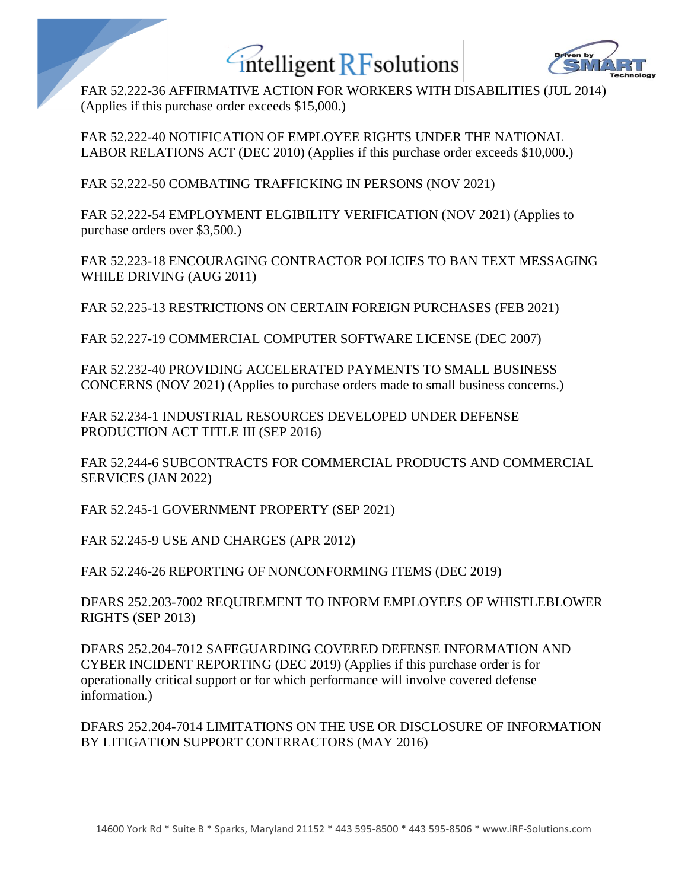

FAR 52.222-36 AFFIRMATIVE ACTION FOR WORKERS WITH DISABILITIES (JUL 2014) (Applies if this purchase order exceeds \$15,000.)

FAR 52.222-40 NOTIFICATION OF EMPLOYEE RIGHTS UNDER THE NATIONAL LABOR RELATIONS ACT (DEC 2010) (Applies if this purchase order exceeds \$10,000.)

FAR 52.222-50 COMBATING TRAFFICKING IN PERSONS (NOV 2021)

FAR 52.222-54 EMPLOYMENT ELGIBILITY VERIFICATION (NOV 2021) (Applies to purchase orders over \$3,500.)

FAR 52.223-18 ENCOURAGING CONTRACTOR POLICIES TO BAN TEXT MESSAGING WHILE DRIVING (AUG 2011)

FAR 52.225-13 RESTRICTIONS ON CERTAIN FOREIGN PURCHASES (FEB 2021)

FAR 52.227-19 COMMERCIAL COMPUTER SOFTWARE LICENSE (DEC 2007)

FAR 52.232-40 PROVIDING ACCELERATED PAYMENTS TO SMALL BUSINESS CONCERNS (NOV 2021) (Applies to purchase orders made to small business concerns.)

FAR 52.234-1 INDUSTRIAL RESOURCES DEVELOPED UNDER DEFENSE PRODUCTION ACT TITLE III (SEP 2016)

FAR 52.244-6 SUBCONTRACTS FOR COMMERCIAL PRODUCTS AND COMMERCIAL SERVICES (JAN 2022)

FAR 52.245-1 GOVERNMENT PROPERTY (SEP 2021)

FAR 52.245-9 USE AND CHARGES (APR 2012)

FAR 52.246-26 REPORTING OF NONCONFORMING ITEMS (DEC 2019)

DFARS 252.203-7002 REQUIREMENT TO INFORM EMPLOYEES OF WHISTLEBLOWER RIGHTS (SEP 2013)

DFARS 252.204-7012 SAFEGUARDING COVERED DEFENSE INFORMATION AND CYBER INCIDENT REPORTING (DEC 2019) (Applies if this purchase order is for operationally critical support or for which performance will involve covered defense information.)

DFARS 252.204-7014 LIMITATIONS ON THE USE OR DISCLOSURE OF INFORMATION BY LITIGATION SUPPORT CONTRRACTORS (MAY 2016)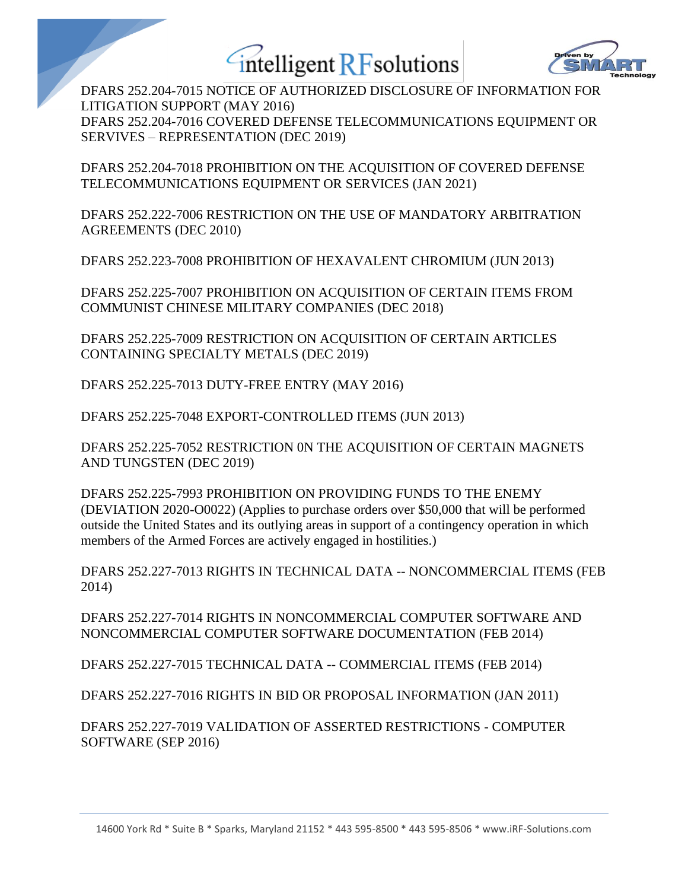



DFARS 252.204-7015 NOTICE OF AUTHORIZED DISCLOSURE OF INFORMATION FOR LITIGATION SUPPORT (MAY 2016) DFARS 252.204-7016 COVERED DEFENSE TELECOMMUNICATIONS EQUIPMENT OR SERVIVES – REPRESENTATION (DEC 2019)

DFARS 252.204-7018 PROHIBITION ON THE ACQUISITION OF COVERED DEFENSE TELECOMMUNICATIONS EQUIPMENT OR SERVICES (JAN 2021)

DFARS 252.222-7006 RESTRICTION ON THE USE OF MANDATORY ARBITRATION AGREEMENTS (DEC 2010)

DFARS 252.223-7008 PROHIBITION OF HEXAVALENT CHROMIUM (JUN 2013)

DFARS 252.225-7007 PROHIBITION ON ACQUISITION OF CERTAIN ITEMS FROM COMMUNIST CHINESE MILITARY COMPANIES (DEC 2018)

DFARS 252.225-7009 RESTRICTION ON ACQUISITION OF CERTAIN ARTICLES CONTAINING SPECIALTY METALS (DEC 2019)

DFARS 252.225-7013 DUTY-FREE ENTRY (MAY 2016)

DFARS 252.225-7048 EXPORT-CONTROLLED ITEMS (JUN 2013)

DFARS 252.225-7052 RESTRICTION 0N THE ACQUISITION OF CERTAIN MAGNETS AND TUNGSTEN (DEC 2019)

DFARS 252.225-7993 PROHIBITION ON PROVIDING FUNDS TO THE ENEMY (DEVIATION 2020-O0022) (Applies to purchase orders over \$50,000 that will be performed outside the United States and its outlying areas in support of a contingency operation in which members of the Armed Forces are actively engaged in hostilities.)

DFARS 252.227-7013 RIGHTS IN TECHNICAL DATA -- NONCOMMERCIAL ITEMS (FEB 2014)

DFARS 252.227-7014 RIGHTS IN NONCOMMERCIAL COMPUTER SOFTWARE AND NONCOMMERCIAL COMPUTER SOFTWARE DOCUMENTATION (FEB 2014)

DFARS 252.227-7015 TECHNICAL DATA -- COMMERCIAL ITEMS (FEB 2014)

DFARS 252.227-7016 RIGHTS IN BID OR PROPOSAL INFORMATION (JAN 2011)

DFARS 252.227-7019 VALIDATION OF ASSERTED RESTRICTIONS - COMPUTER SOFTWARE (SEP 2016)